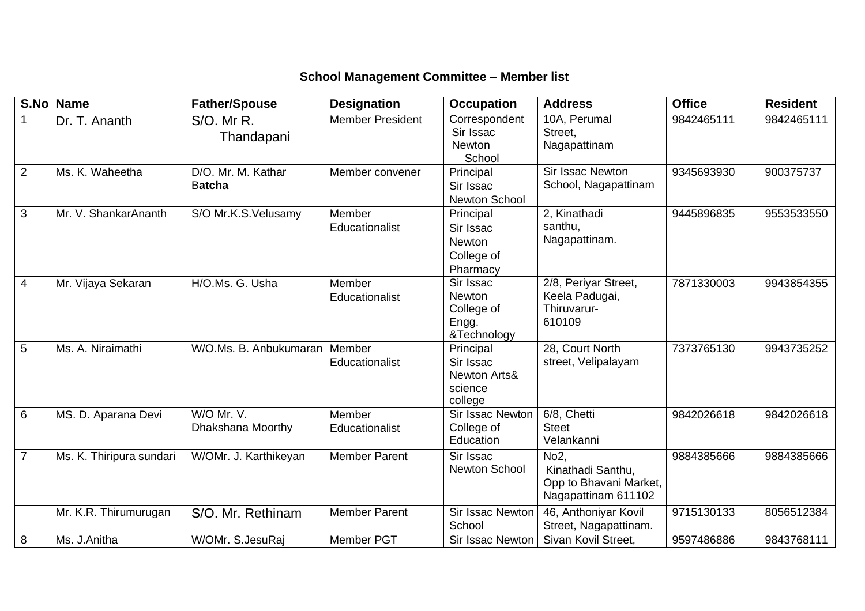## **School Management Committee – Member list**

| S.No           | <b>Name</b>              | <b>Father/Spouse</b>                | <b>Designation</b>       | <b>Occupation</b>                                                       | <b>Address</b>                                                                          | <b>Office</b> | <b>Resident</b> |
|----------------|--------------------------|-------------------------------------|--------------------------|-------------------------------------------------------------------------|-----------------------------------------------------------------------------------------|---------------|-----------------|
|                | Dr. T. Ananth            | S/O. Mr R.<br>Thandapani            | <b>Member President</b>  | Correspondent<br>Sir Issac<br><b>Newton</b><br>School                   | 10A, Perumal<br>Street,<br>Nagapattinam                                                 | 9842465111    | 9842465111      |
| 2              | Ms. K. Waheetha          | D/O. Mr. M. Kathar<br><b>Batcha</b> | Member convener          | Principal<br>Sir Issac<br>Newton School                                 | Sir Issac Newton<br>School, Nagapattinam                                                | 9345693930    | 900375737       |
| 3              | Mr. V. ShankarAnanth     | S/O Mr.K.S.Velusamy                 | Member<br>Educationalist | Principal<br>Sir Issac<br>Newton<br>College of<br>Pharmacy              | 2, Kinathadi<br>santhu,<br>Nagapattinam.                                                | 9445896835    | 9553533550      |
| 4              | Mr. Vijaya Sekaran       | H/O.Ms. G. Usha                     | Member<br>Educationalist | Sir Issac<br><b>Newton</b><br>College of<br>Engg.<br>&Technology        | 2/8, Periyar Street,<br>Keela Padugai,<br>Thiruvarur-<br>610109                         | 7871330003    | 9943854355      |
| 5              | Ms. A. Niraimathi        | W/O.Ms. B. Anbukumaran              | Member<br>Educationalist | Principal<br>Sir Issac<br><b>Newton Arts&amp;</b><br>science<br>college | 28, Court North<br>street, Velipalayam                                                  | 7373765130    | 9943735252      |
| 6              | MS. D. Aparana Devi      | W/O Mr. V.<br>Dhakshana Moorthy     | Member<br>Educationalist | Sir Issac Newton<br>College of<br>Education                             | 6/8, Chetti<br><b>Steet</b><br>Velankanni                                               | 9842026618    | 9842026618      |
| $\overline{7}$ | Ms. K. Thiripura sundari | W/OMr. J. Karthikeyan               | <b>Member Parent</b>     | Sir Issac<br>Newton School                                              | No <sub>2</sub> ,<br>Kinathadi Santhu,<br>Opp to Bhavani Market,<br>Nagapattinam 611102 | 9884385666    | 9884385666      |
|                | Mr. K.R. Thirumurugan    | S/O. Mr. Rethinam                   | <b>Member Parent</b>     | <b>Sir Issac Newton</b><br>School                                       | 46, Anthoniyar Kovil<br>Street, Nagapattinam.                                           | 9715130133    | 8056512384      |
| 8              | Ms. J.Anitha             | W/OMr. S.JesuRaj                    | Member PGT               | Sir Issac Newton                                                        | Sivan Kovil Street,                                                                     | 9597486886    | 9843768111      |